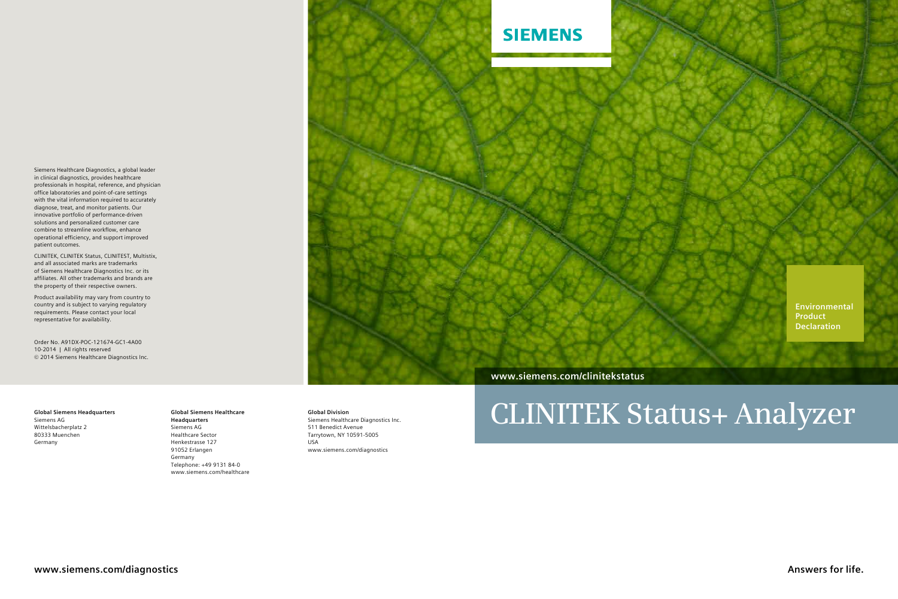**Answers for life.**

# **CLINITEK Status+ Analyzer**

### **www.siemens.com/clinitekstatus**



**Global Siemens Headquarters** Siemens AG Wittelsbacherplatz 2 80333 Muenchen Germany

**Global Siemens Healthcare Headquarters** Siemens AG Healthcare Sector Henkestrasse 127 91052 Erlangen Germany Telephone: +49 9131 84-0 www.siemens.com/healthcare

#### **Global Division**

Siemens Healthcare Diagnostics Inc. 511 Benedict Avenue Tarrytown, NY 10591-5005 USA www.siemens.com/diagnostics

### **SIEMENS**

Siemens Healthcare Diagnostics, a global leader in clinical diagnostics, provides healthcare professionals in hospital, reference, and physician office laboratories and point-of-care settings with the vital information required to accurately diagnose, treat, and monitor patients. Our innovative portfolio of performance-driven solutions and personalized customer care combine to streamline workflow, enhance operational efficiency, and support improved patient outcomes.

CLINITEK, CLINITEK Status, CLINITEST, Multistix, and all associated marks are trademarks of Siemens Healthcare Diagnostics Inc. or its affiliates. All other trademarks and brands are the property of their respective owners.

Product availability may vary from country to country and is subject to varying regulatory requirements. Please contact your local representative for availability.

Order No. A91DX-POC-121674-GC1-4A00 10-2014 | All rights reserved © 2014 Siemens Healthcare Diagnostics Inc.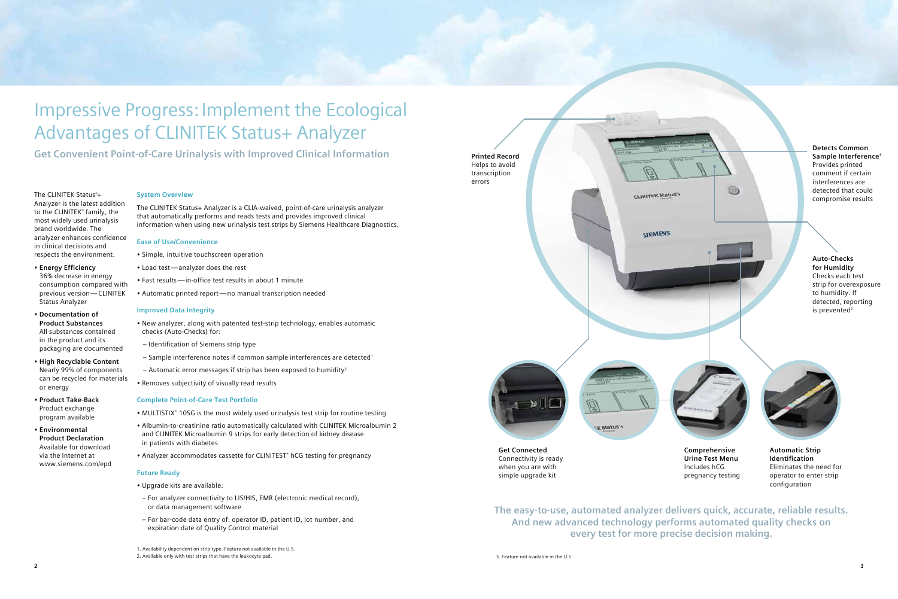## Impressive Progress: Implement the Ecological Advantages of CLINITEK Status+ Analyzer

**Get Convenient Point-of-Care Urinalysis with Improved Clinical Information**

### **System Overview**

The CLINITEK Status+ Analyzer is a CLIA-waived, point-of-care urinalysis analyzer that automatically performs and reads tests and provides improved clinical information when using new urinalysis test strips by Siemens Healthcare Diagnostics.

### **Ease of Use/Convenience**

- Simple, intuitive touchscreen operation
- Load test-analyzer does the rest
- Fast results in-office test results in about 1 minute
- Automatic printed report no manual transcription needed

### **Improved Data Integrity**

- New analyzer, along with patented test-strip technology, enables automatic checks (Auto-Checks) for:
- Identification of Siemens strip type
- $-$  Sample interference notes if common sample interferences are detected<sup>1</sup>
- Automatic error messages if strip has been exposed to humidity<sup>2</sup>
- Removes subjectivity of visually read results

### **Complete Point-of-Care Test Portfolio**

**Auto-Checks for Humidity** Checks each test strip for overexposure to humidity. If detected, reporting is prevented<sup>2</sup>



- MULTISTIX® 10SG is the most widely used urinalysis test strip for routine testing
- Albumin-to-creatinine ratio automatically calculated with CLINITEK Microalbumin 2 and CLINITEK Microalbumin 9 strips for early detection of kidney disease in patients with diabetes
- Analyzer accommodates cassette for CLINITEST® hCG testing for pregnancy

### **Future Ready**



when you are with simple upgrade kit

Includes hCG pregnancy testing

- Upgrade kits are available:
- For analyzer connectivity to LIS/HIS, EMR (electronic medical record), or data management software
- For bar-code data entry of: operator ID, patient ID, lot number, and expiration date of Quality Control material
- 1. Availability dependent on strip type. Feature not available in the U.S. 2. Available only with test strips that have the leukocyte pad.

**Automatic Strip Identification** Eliminates the need for operator to enter strip configuration

**Detects Common Sample Interference3** Provides printed comment if certain interferences are detected that could compromise results

**The easy-to-use, automated analyzer delivers quick, accurate, reliable results. And new advanced technology performs automated quality checks on every test for more precise decision making.**

The CLINITEK Status® + Analyzer is the latest addition to the CLINITEK® family, the most widely used urinalysis brand worldwide. The analyzer enhances confidence in clinical decisions and respects the environment.

- **Energy Efficiency** 36% decrease in energy consumption compared with previous version — CLINITEK Status Analyzer
- **Documentation of Product Substances**  All substances contained in the product and its packaging are documented
- **High Recyclable Content**  Nearly 99% of components can be recycled for materials or energy
- **Product Take-Back**  Product exchange program available
- **Environmental Product Declaration**  Available for download via the Internet at www.siemens.com/epd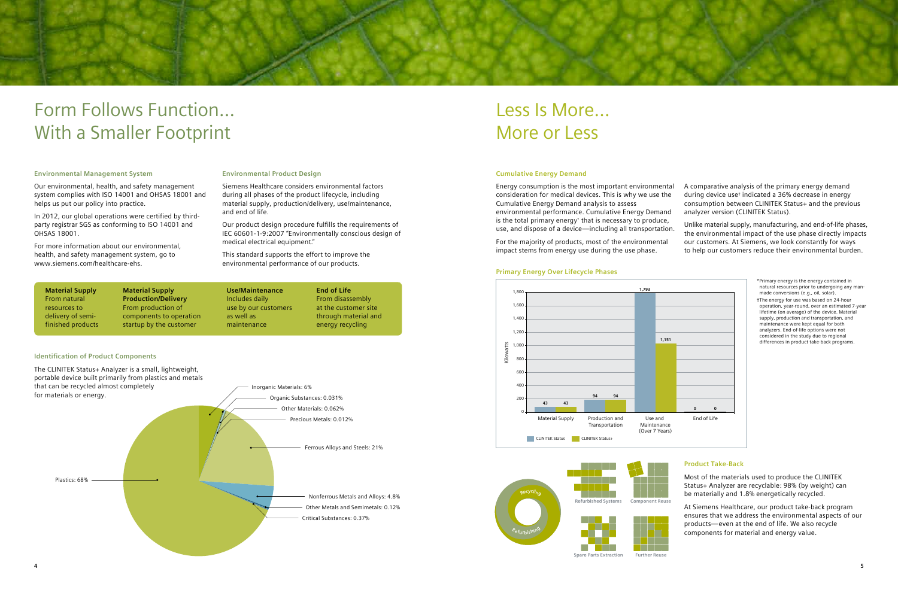#### **Environmental Management System**

Our environmental, health, and safety management system complies with ISO 14001 and OHSAS 18001 and helps us put our policy into practice.

In 2012, our global operations were certified by thirdparty registrar SGS as conforming to ISO 14001 and OHSAS 18001.

For more information about our environmental, health, and safety management system, go to www.siemens.com/healthcare-ehs.



## Form Follows Function... With a Smaller Footprint

### **Environmental Product Design**

Siemens Healthcare considers environmental factors during all phases of the product lifecycle, including material supply, production/delivery, use/maintenance, and end of life.

Our product design procedure fulfills the requirements of IEC 60601-1-9:2007 "Environmentally conscious design of medical electrical equipment."

This standard supports the effort to improve the environmental performance of our products.

### **Identification of Product Components**

| <b>Material Supply</b><br><b>Material Supply</b><br><b>Production/Delivery</b><br>From natural<br>From production of<br>resources to<br>delivery of semi-<br>components to operation<br>finished products<br>startup by the customer | Use/Maintenance<br>Includes daily<br>use by our customers<br>as well as<br>maintenance | <b>End of Life</b><br>From disassembly<br>at the customer site<br>through material and<br>energy recycling |
|--------------------------------------------------------------------------------------------------------------------------------------------------------------------------------------------------------------------------------------|----------------------------------------------------------------------------------------|------------------------------------------------------------------------------------------------------------|
|--------------------------------------------------------------------------------------------------------------------------------------------------------------------------------------------------------------------------------------|----------------------------------------------------------------------------------------|------------------------------------------------------------------------------------------------------------|



### Less Is More... More or Less

- \*Primary energy is the energy contained in natural resources prior to undergoing any manmade conversions (e.g., oil, solar).
- †The energy for use was based on 24-hour operation, year-round, over an estimated 7-year lifetime (on average) of the device. Material supply, production and transportation, and maintenance were kept equal for both analyzers. End-of-life options were not considered in the study due to regional differences in product take-back programs.

### **Cumulative Energy Demand**

Energy consumption is the most important environmental consideration for medical devices. This is why we use the Cumulative Energy Demand analysis to assess environmental performance. Cumulative Energy Demand is the total primary energy<sup>\*</sup> that is necessary to produce, use, and dispose of a device — including all transportation.

For the majority of products, most of the environmental impact stems from energy use during the use phase.



A comparative analysis of the primary energy demand during device use† indicated a 36% decrease in energy consumption between CLINITEK Status+ and the previous analyzer version (CLINITEK Status).

Unlike material supply, manufacturing, and end-of-life phases, the environmental impact of the use phase directly impacts our customers. At Siemens, we look constantly for ways to help our customers reduce their environmental burden.

### **Primary Energy Over Lifecycle Phases**

### **Product Take-Back**

Most of the materials used to produce the CLINITEK Status+ Analyzer are recyclable: 98% (by weight) can be materially and 1.8% energetically recycled.

At Siemens Healthcare, our product take-back program ensures that we address the environmental aspects of our products—even at the end of life. We also recycle components for material and energy value.